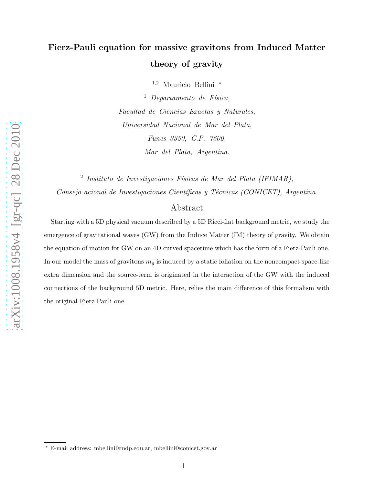# Fierz-Pauli equation for massive gravitons from Induced Matter theory of gravity

<sup>1</sup>,<sup>2</sup> Mauricio Bellini <sup>∗</sup>

 $<sup>1</sup>$  Departamento de Física,</sup> Facultad de Ciencias Exactas y Naturales, Universidad Nacional de Mar del Plata, Funes 3350, C.P. 7600, Mar del Plata, Argentina.

<sup>2</sup> Instituto de Investigaciones Físicas de Mar del Plata (IFIMAR), Consejo acional de Investigaciones Científicas y Técnicas (CONICET), Argentina.

## Abstract

Starting with a 5D physical vacuum described by a 5D Ricci-flat background metric, we study the emergence of gravitational waves (GW) from the Induce Matter (IM) theory of gravity. We obtain the equation of motion for GW on an 4D curved spacetime which has the form of a Fierz-Pauli one. In our model the mass of gravitons  $m_g$  is induced by a static foliation on the noncompact space-like extra dimension and the source-term is originated in the interaction of the GW with the induced connections of the background 5D metric. Here, relies the main difference of this formalism with the original Fierz-Pauli one.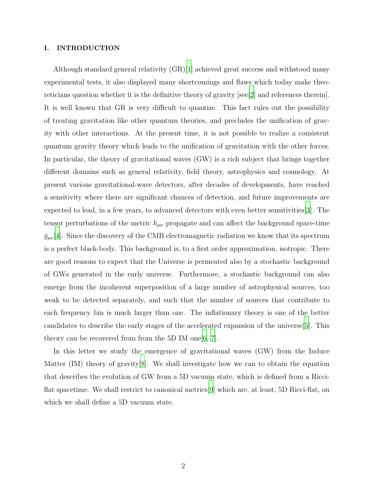## I. INTRODUCTION

Although standard general relativity  $(GR)|1|$  achieved great success and withstood many experimental tests, it also displayed many shortcomings and flaws which today make theoreticians question whether it is the definitive theory of gravity [see[\[2](#page-7-1)] and references therein]. It is well known that GR is very difficult to quantize. This fact rules out the possibility of treating gravitation like other quantum theories, and precludes the unification of gravity with other interactions. At the present time, it is not possible to realize a consistent quantum gravity theory which leads to the unification of gravitation with the other forces. In particular, the theory of gravitational waves (GW) is a rich subject that brings together different domains such as general relativity, field theory, astrophysics and cosmology. At present various gravitational-wave detectors, after decades of developments, have reached a sensitivity where there are significant chances of detection, and future improvements are expected to lead, in a few years, to advanced detectors with even better sensitivities[\[3](#page-7-2)]. The tensor perturbations of the metric  $h_{\mu\nu}$  propagate and can affect the background space-time  $\bar{g}_{\mu\nu}[4]$  $\bar{g}_{\mu\nu}[4]$ . Since the discovery of the CMB electromagnetic radiation we know that its spectrum is a perfect black-body. This background is, to a first order approximation, isotropic. There are good reasons to expect that the Universe is permeated also by a stochastic background of GWs generated in the early universe. Furthermore, a stochastic background can also emerge from the incoherent superposition of a large number of astrophysical sources, too weak to be detected separately, and such that the number of sources that contribute to each frequency bin is much larger than one. The inflationary theory is one of the better candidates to describe the early stages of the accelerated expansion of the universe[\[5\]](#page-7-4). This theory can be recovered from from the 5D IM one  $[6, 7]$  $[6, 7]$  $[6, 7]$ .

In this letter we study the emergence of gravitational waves (GW) from the Induce Matter (IM) theory of gravity[\[8](#page-8-1)]. We shall investigate how we can to obtain the equation that describes the evolution of GW from a 5D vacuum state, which is defined from a Ricciflat spacetime. We shall restrict to canonical metrics[\[9](#page-8-2)] which are, at least, 5D Ricci-flat, on which we shall define a 5D vacuum state.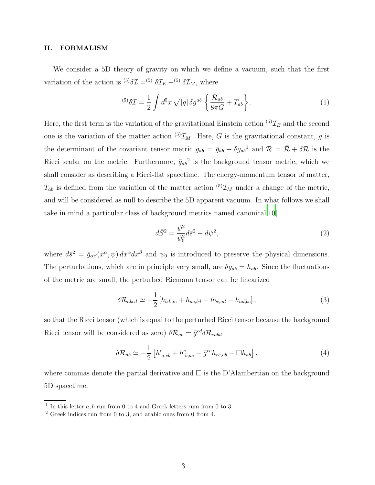## II. FORMALISM

We consider a 5D theory of gravity on which we define a vacuum, such that the first variation of the action is <sup>(5)</sup> $\delta \mathcal{I} =$ <sup>(5)</sup> $\delta \mathcal{I}_E$  +<sup>(5)</sup> $\delta \mathcal{I}_M$ , where

$$
^{(5)}\delta\mathcal{I} = \frac{1}{2} \int d^5x \sqrt{|g|} \delta g^{ab} \left\{ \frac{\mathcal{R}_{ab}}{8\pi G} + T_{ab} \right\}.
$$
 (1)

Here, the first term is the variation of the gravitational Einstein action  $^{(5)}\mathcal{I}_E$  and the second one is the variation of the matter action  ${}^{(5)}\mathcal{I}_M$ . Here, G is the gravitational constant, g is the determinant of the covariant tensor metric  $g_{ab} = \bar{g}_{ab} + \delta g_{ab}^{\ \ 1}$  and  $\mathcal{R} = \bar{\mathcal{R}} + \delta \mathcal{R}$  is the Ricci scalar on the metric. Furthermore,  $\bar{g}_{ab}^2$  is the background tensor metric, which we shall consider as describing a Ricci-flat spacetime. The energy-momentum tensor of matter,  $T_{ab}$  is defined from the variation of the matter action  ${}^{(5)}\mathcal{I}_M$  under a change of the metric, and will be considered as null to describe the 5D apparent vacuum. In what follows we shall take in mind a particular class of background metrics named canonical  $[10]$ 

<span id="page-2-0"></span>
$$
d\bar{S}^2 = \frac{\psi^2}{\psi_0^2} d\bar{s}^2 - d\psi^2,
$$
\t(2)

where  $d\bar{s}^2 = \bar{g}_{\alpha\beta}(x^\alpha, \psi) dx^\alpha dx^\beta$  and  $\psi_0$  is introduced to preserve the physical dimensions. The perturbations, which are in principle very small, are  $\delta g_{ab} = h_{ab}$ . Since the fluctuations of the metric are small, the perturbed Riemann tensor can be linearized

$$
\delta \mathcal{R}_{abcd} \simeq -\frac{1}{2} \left[ h_{bd,ac} + h_{ac,bd} - h_{bc,ad} - h_{ad,bc} \right],\tag{3}
$$

so that the Ricci tensor (which is equal to the perturbed Ricci tensor because the background Ricci tensor will be considered as zero)  $\delta \mathcal{R}_{ab} = \bar{g}^{cd} \delta \mathcal{R}_{cabd}$ 

<span id="page-2-1"></span>
$$
\delta \mathcal{R}_{ab} \simeq -\frac{1}{2} \left[ h_{a,cb}^c + h_{b,ac}^c - \bar{g}^{ce} h_{ce,ab} - \Box h_{ab} \right],\tag{4}
$$

where commas denote the partial derivative and  $\square$  is the D'Alambertian on the background 5D spacetime.

<sup>&</sup>lt;sup>1</sup> In this letter  $a, b$  run from 0 to 4 and Greek letters rum from 0 to 3.

<sup>2</sup> Greek indices run from 0 to 3, and arabic ones from 0 from 4.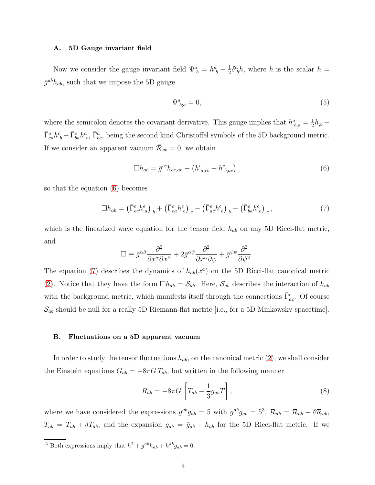#### A. 5D Gauge invariant field

Now we consider the gauge invariant field  $\Psi_b^a = h_b^a - \frac{1}{2}$  $\frac{1}{2}\delta^a_{\ b}h$ , where h is the scalar  $h =$  $\bar{g}^{ab}h_{ab}$ , such that we impose the 5D gauge

$$
\Psi_{b;a}^a = 0,\tag{5}
$$

where the semicolon denotes the covariant derivative. This gauge implies that  $h^a_{b,a} = \frac{1}{2}$  $\frac{1}{2}h_{,b}$  –  $\bar{\Gamma}_{ca}^a h^c_{~b} - \bar{\Gamma}_{ba}^c h^a_{~c}$ ,  $\bar{\Gamma}_{bc}^a$ , being the second kind Christoffel symbols of the 5D background metric. If we consider an apparent vacuum  $\bar{\mathcal{R}}_{ab} = 0$ , we obtain

<span id="page-3-0"></span>
$$
\Box h_{ab} = \bar{g}^{ce} h_{ce,ab} - \left( h^c_{a,cb} + h^c_{b,ac} \right),\tag{6}
$$

so that the equation [\(6\)](#page-3-0) becomes

<span id="page-3-1"></span>
$$
\Box h_{ab} = \left(\bar{\Gamma}^c_{ec} h^e_{\ a}\right)_{,b} + \left(\bar{\Gamma}^c_{ea} h^e_{\ b}\right)_{,c} - \left(\bar{\Gamma}^e_{ac} h^c_{\ e}\right)_{,b} - \left(\bar{\Gamma}^e_{ba} h^c_{\ e}\right)_{,c},\tag{7}
$$

which is the linearized wave equation for the tensor field  $h_{ab}$  on any 5D Ricci-flat metric, and

$$
\Box \equiv \bar{g}^{\alpha\beta} \frac{\partial^2}{\partial x^\alpha \partial x^\beta} + 2\bar{g}^{\alpha\psi} \frac{\partial^2}{\partial x^\alpha \partial \psi} + \bar{g}^{\psi\psi} \frac{\partial^2}{\partial \psi^2}.
$$

The equation [\(7\)](#page-3-1) describes the dynamics of  $h_{ab}(x^a)$  on the 5D Ricci-flat canonical metric [\(2\)](#page-2-0). Notice that they have the form  $\Box h_{ab} = S_{ab}$ . Here,  $S_{ab}$  describes the interaction of  $h_{ab}$ with the background metric, which manifests itself through the connections  $\bar{\Gamma}_{ac}^{e}$ . Of course  $\mathcal{S}_{ab}$  should be null for a really 5D Riemann-flat metric [i.e., for a 5D Minkowsky spacetime].

#### B. Fluctuations on a 5D apparent vacuum

In order to study the tensor fluctuations  $h_{ab}$ , on the canonical metric [\(2\)](#page-2-0), we shall consider the Einstein equations  $G_{ab} = -8\pi G T_{ab}$ , but written in the following manner

<span id="page-3-2"></span>
$$
R_{ab} = -8\pi G \left[ T_{ab} - \frac{1}{3} g_{ab} T \right],\tag{8}
$$

where we have considered the expressions  $g^{ab}g_{ab} = 5$  with  $\bar{g}^{ab}\bar{g}_{ab} = 5^3$ ,  $\mathcal{R}_{ab} = \bar{\mathcal{R}}_{ab} + \delta \mathcal{R}_{ab}$ ,  $T_{ab} = \bar{T}_{ab} + \delta T_{ab}$ , and the expansion  $g_{ab} = \bar{g}_{ab} + h_{ab}$  for the 5D Ricci-flat metric. If we

<sup>3</sup> Both expressions imply that  $h^2 + \bar{g}^{ab}h_{ab} + h^{ab}\bar{g}_{ab} = 0$ .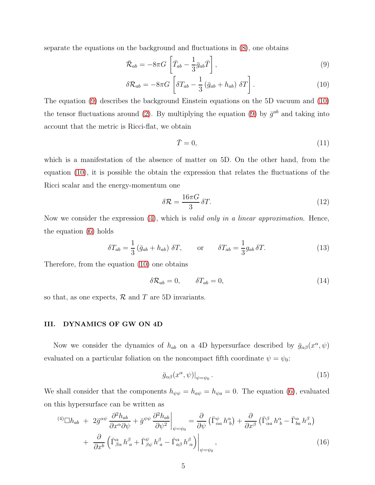separate the equations on the background and fluctuations in [\(8\)](#page-3-2), one obtains

<span id="page-4-0"></span>
$$
\bar{\mathcal{R}}_{ab} = -8\pi G \left[ \bar{T}_{ab} - \frac{1}{3} \bar{g}_{ab} \bar{T} \right],\tag{9}
$$

$$
\delta \mathcal{R}_{ab} = -8\pi G \left[ \delta T_{ab} - \frac{1}{3} \left( \bar{g}_{ab} + h_{ab} \right) \delta T \right]. \tag{10}
$$

The equation [\(9\)](#page-4-0) describes the background Einstein equations on the 5D vacuum and [\(10\)](#page-4-0) the tensor fluctuations around [\(2\)](#page-2-0). By multiplying the equation [\(9\)](#page-4-0) by  $\bar{g}^{ab}$  and taking into account that the metric is Ricci-flat, we obtain

$$
\bar{T} = 0,\t\t(11)
$$

which is a manifestation of the absence of matter on 5D. On the other hand, from the equation [\(10\)](#page-4-0), it is possible the obtain the expression that relates the fluctuations of the Ricci scalar and the energy-momentum one

$$
\delta \mathcal{R} = \frac{16\pi G}{3} \delta T. \tag{12}
$$

Now we consider the expression [\(4\)](#page-2-1), which is *valid only in a linear approximation*. Hence, the equation [\(6\)](#page-3-0) holds

$$
\delta T_{ab} = \frac{1}{3} \left( \bar{g}_{ab} + h_{ab} \right) \delta T, \qquad \text{or} \qquad \delta T_{ab} = \frac{1}{3} g_{ab} \delta T. \tag{13}
$$

Therefore, from the equation [\(10\)](#page-4-0) one obtains

$$
\delta \mathcal{R}_{ab} = 0, \qquad \delta T_{ab} = 0, \tag{14}
$$

so that, as one expects,  $\mathcal R$  and  $T$  are 5D invariants.

## III. DYNAMICS OF GW ON 4D

Now we consider the dynamics of  $h_{ab}$  on a 4D hypersurface described by  $\bar{g}_{\alpha\beta}(x^{\alpha},\psi)$ evaluated on a particular foliation on the noncompact fifth coordinate  $\psi = \psi_0$ :

$$
\bar{g}_{\alpha\beta}(x^{\alpha},\psi)|_{\psi=\psi_0}.
$$
\n(15)

We shall consider that the components  $h_{\psi\psi} = h_{\alpha\psi} = h_{\psi a} = 0$ . The equation [\(6\)](#page-3-0), evaluated on this hypersurface can be written as

$$
^{(4)}\Box h_{ab} + 2\bar{g}^{\alpha\psi} \frac{\partial^2 h_{ab}}{\partial x^{\alpha} \partial \psi} + \bar{g}^{\psi\psi} \frac{\partial^2 h_{ab}}{\partial \psi^2} \bigg|_{\psi = \psi_0} = \frac{\partial}{\partial \psi} \left( \bar{\Gamma}^{\psi}_{\alpha a} h^{\alpha}_{b} \right) + \frac{\partial}{\partial x^{\beta}} \left( \bar{\Gamma}^{\beta}_{\alpha a} h^{\alpha}_{b} - \bar{\Gamma}^{\alpha}_{ba} h^{\beta}_{\alpha} \right) + \frac{\partial}{\partial x^b} \left( \bar{\Gamma}^{\alpha}_{\beta \alpha} h^{\beta}_{a} + \bar{\Gamma}^{\psi}_{\beta \psi} h^{\beta}_{a} - \bar{\Gamma}^{\alpha}_{a\beta} h^{\beta}_{\alpha} \right) \bigg|_{\psi = \psi_0}, \tag{16}
$$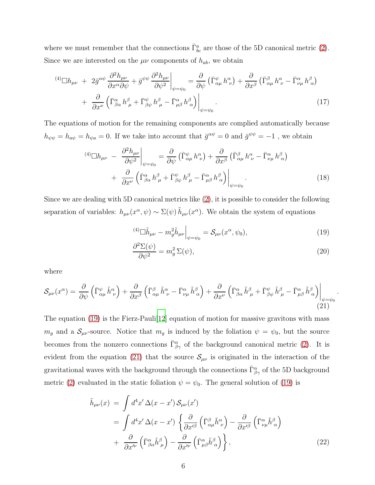where we must remember that the connections  $\bar{\Gamma}^a_{bc}$  are those of the 5D canonical metric [\(2\)](#page-2-0). Since we are interested on the  $\mu\nu$  components of  $h_{ab}$ , we obtain

$$
^{(4)}\Box h_{\mu\nu} + 2\bar{g}^{\alpha\psi} \frac{\partial^2 h_{\mu\nu}}{\partial x^{\alpha} \partial \psi} + \bar{g}^{\psi\psi} \frac{\partial^2 h_{\mu\nu}}{\partial \psi^2} \bigg|_{\psi = \psi_0} = \frac{\partial}{\partial \psi} \left( \bar{\Gamma}^{\psi}_{\alpha\mu} h^{\alpha}_{\nu} \right) + \frac{\partial}{\partial x^{\beta}} \left( \bar{\Gamma}^{\beta}_{\alpha\mu} h^{\alpha}_{\nu} - \bar{\Gamma}^{\alpha}_{\nu\mu} h^{\beta}_{\alpha} \right) + \frac{\partial}{\partial x^{\nu}} \left( \bar{\Gamma}^{\alpha}_{\beta\alpha} h^{\beta}_{\mu} + \bar{\Gamma}^{\psi}_{\beta\psi} h^{\beta}_{\mu} - \bar{\Gamma}^{\alpha}_{\mu\beta} h^{\beta}_{\alpha} \right) \bigg|_{\psi = \psi_0} . \tag{17}
$$

The equations of motion for the remaining components are complied automatically because  $h_{\psi\psi} = h_{a\psi} = h_{\psi a} = 0$ . If we take into account that  $\bar{g}^{\alpha\psi} = 0$  and  $\bar{g}^{\psi\psi} = -1$ , we obtain

$$
^{(4)}\Box h_{\mu\nu} - \frac{\partial^2 h_{\mu\nu}}{\partial \psi^2}\Big|_{\psi=\psi_0} = \frac{\partial}{\partial \psi} \left( \bar{\Gamma}^{\psi}_{\alpha\mu} h^{\alpha}_{\nu} \right) + \frac{\partial}{\partial x^{\beta}} \left( \bar{\Gamma}^{\beta}_{\alpha\mu} h^{\alpha}_{\nu} - \bar{\Gamma}^{\alpha}_{\nu\mu} h^{\beta}_{\alpha} \right) + \frac{\partial}{\partial x^{\nu}} \left( \bar{\Gamma}^{\alpha}_{\beta\alpha} h^{\beta}_{\mu} + \bar{\Gamma}^{\psi}_{\beta\psi} h^{\beta}_{\mu} - \bar{\Gamma}^{\alpha}_{\mu\beta} h^{\beta}_{\alpha} \right) \Big|_{\psi=\psi_0} .
$$
 (18)

Since we are dealing with 5D canonical metrics like [\(2\)](#page-2-0), it is possible to consider the following separation of variables:  $h_{\mu\nu}(x^{\alpha}, \psi) \sim \Sigma(\psi) \tilde{h}_{\mu\nu}(x^{\alpha})$ . We obtain the system of equations

<span id="page-5-0"></span>
$$
^{(4)}\Box \tilde{h}_{\mu\nu} - m_g^2 \tilde{h}_{\mu\nu}\Big|_{\psi = \psi_0} = \mathcal{S}_{\mu\nu}(x^\alpha, \psi_0),\tag{19}
$$

$$
\frac{\partial^2 \Sigma(\psi)}{\partial \psi^2} = m_g^2 \Sigma(\psi),\tag{20}
$$

.

where

<span id="page-5-1"></span>
$$
\mathcal{S}_{\mu\nu}(x^{\alpha}) = \frac{\partial}{\partial \psi} \left( \bar{\Gamma}^{\psi}_{\alpha\mu} \tilde{h}^{\alpha}_{\ \nu} \right) + \frac{\partial}{\partial x^{\beta}} \left( \bar{\Gamma}^{\beta}_{\alpha\mu} \tilde{h}^{\alpha}_{\ \nu} - \bar{\Gamma}^{\alpha}_{\nu\mu} \tilde{h}^{\beta}_{\ \alpha} \right) + \frac{\partial}{\partial x^{\nu}} \left( \bar{\Gamma}^{\alpha}_{\beta\alpha} \tilde{h}^{\beta}_{\ \mu} + \bar{\Gamma}^{\psi}_{\beta\psi} \tilde{h}^{\beta}_{\ \mu} - \bar{\Gamma}^{\alpha}_{\mu\beta} \tilde{h}^{\beta}_{\ \alpha} \right) \Big|_{\psi = \psi_{0}} (21)
$$

The equation [\(19\)](#page-5-0) is the Fierz-Pauli[\[12\]](#page-8-4) equation of motion for massive gravitons with mass  $m_g$  and a  $\mathcal{S}_{\mu\nu}$ -source. Notice that  $m_g$  is induced by the foliation  $\psi = \psi_0$ , but the source becomes from the nonzero connections  $\bar{\Gamma}^{\alpha}_{\beta\gamma}$  of the background canonical metric [\(2\)](#page-2-0). It is evident from the equation [\(21\)](#page-5-1) that the source  $\mathcal{S}_{\mu\nu}$  is originated in the interaction of the gravitational waves with the background through the connections  $\bar{\Gamma}^{\alpha}_{\beta\gamma}$  of the 5D background metric [\(2\)](#page-2-0) evaluated in the static foliation  $\psi = \psi_0$ . The general solution of [\(19\)](#page-5-0) is

<span id="page-5-2"></span>
$$
\tilde{h}_{\mu\nu}(x) = \int d^4x' \,\Delta(x - x') \,\mathcal{S}_{\mu\nu}(x')
$$
\n
$$
= \int d^4x' \,\Delta(x - x') \,\left\{ \frac{\partial}{\partial x'^\beta} \left( \bar{\Gamma}^\beta_{\alpha\mu} \tilde{h}^\alpha_{\ \nu} \right) - \frac{\partial}{\partial x'^\beta} \left( \bar{\Gamma}^\alpha_{\nu\mu} \tilde{h}^\beta_{\ \alpha} \right) \right. \\
\left. + \frac{\partial}{\partial x'^\nu} \left( \bar{\Gamma}^\alpha_{\beta\alpha} \tilde{h}^\beta_{\ \mu} \right) - \frac{\partial}{\partial x'^\nu} \left( \bar{\Gamma}^\alpha_{\mu\beta} \tilde{h}^\beta_{\ \alpha} \right) \right\},
$$
\n(22)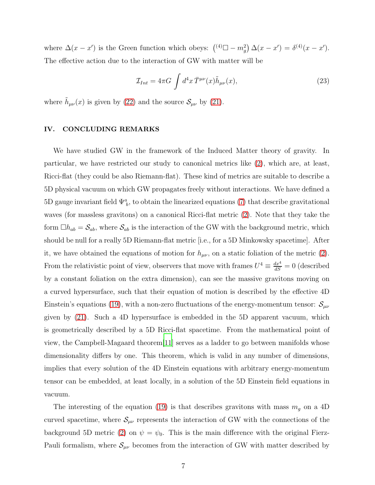where  $\Delta(x - x')$  is the Green function which obeys:  $({}^{(4)}\square - m_g^2) \Delta(x - x') = \delta^{(4)}(x - x')$ . The effective action due to the interaction of GW with matter will be

$$
\mathcal{I}_{Int} = 4\pi G \int d^4x \,\overline{T}^{\mu\nu}(x)\tilde{h}_{\mu\nu}(x),\tag{23}
$$

where  $\tilde{h}_{\mu\nu}(x)$  is given by [\(22\)](#page-5-2) and the source  $\mathcal{S}_{\mu\nu}$  by [\(21\)](#page-5-1).

#### IV. CONCLUDING REMARKS

We have studied GW in the framework of the Induced Matter theory of gravity. In particular, we have restricted our study to canonical metrics like [\(2\)](#page-2-0), which are, at least, Ricci-flat (they could be also Riemann-flat). These kind of metrics are suitable to describe a 5D physical vacuum on which GW propagates freely without interactions. We have defined a 5D gauge invariant field  $\Psi^a_{\ b}$ , to obtain the linearized equations [\(7\)](#page-3-1) that describe gravitational waves (for massless gravitons) on a canonical Ricci-flat metric [\(2\)](#page-2-0). Note that they take the form  $\Box h_{ab} = S_{ab}$ , where  $S_{ab}$  is the interaction of the GW with the background metric, which should be null for a really 5D Riemann-flat metric [i.e., for a 5D Minkowsky spacetime]. After it, we have obtained the equations of motion for  $h_{\mu\nu}$ , on a static foliation of the metric [\(2\)](#page-2-0). From the relativistic point of view, observers that move with frames  $U^4 \equiv \frac{dx^4}{dS} = 0$  (described by a constant foliation on the extra dimension), can see the massive gravitons moving on a curved hypersurface, such that their equation of motion is described by the effective 4D Einstein's equations [\(19\)](#page-5-0), with a non-zero fluctuations of the energy-momentum tensor:  $\mathcal{S}_{\mu\nu}$ given by [\(21\)](#page-5-1). Such a 4D hypersurface is embedded in the 5D apparent vacuum, which is geometrically described by a 5D Ricci-flat spacetime. From the mathematical point of view, the Campbell-Magaard theorem[\[11](#page-8-5)] serves as a ladder to go between manifolds whose dimensionality differs by one. This theorem, which is valid in any number of dimensions, implies that every solution of the 4D Einstein equations with arbitrary energy-momentum tensor can be embedded, at least locally, in a solution of the 5D Einstein field equations in vacuum.

The interesting of the equation [\(19\)](#page-5-0) is that describes gravitons with mass  $m<sub>g</sub>$  on a 4D curved spacetime, where  $S_{\mu\nu}$  represents the interaction of GW with the connections of the background 5D metric [\(2\)](#page-2-0) on  $\psi = \psi_0$ . This is the main difference with the original Fierz-Pauli formalism, where  $S_{\mu\nu}$  becomes from the interaction of GW with matter described by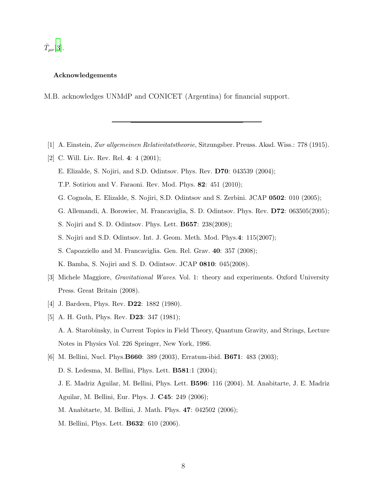$\bar{T}_{\mu\nu}$ [\[3](#page-7-2)].

## Acknowledgements

M.B. acknowledges UNMdP and CONICET (Argentina) for financial support.

- <span id="page-7-1"></span><span id="page-7-0"></span>[1] A. Einstein, Zur allgemeinen Relativitatstheorie, Sitzungsber. Preuss. Akad. Wiss.: 778 (1915).
- [2] C. Will. Liv. Rev. Rel. 4: 4 (2001);
	- E. Elizalde, S. Nojiri, and S.D. Odintsov. Phys. Rev. D70: 043539 (2004);
	- T.P. Sotiriou and V. Faraoni. Rev. Mod. Phys. 82: 451 (2010);
	- G. Cognola, E. Elizalde, S. Nojiri, S.D. Odintsov and S. Zerbini. JCAP 0502: 010 (2005);
	- G. Allemandi, A. Borowiec, M. Francaviglia, S. D. Odintsov. Phys. Rev. D72: 063505(2005);
	- S. Nojiri and S. D. Odintsov. Phys. Lett. B657: 238(2008);
	- S. Nojiri and S.D. Odintsov. Int. J. Geom. Meth. Mod. Phys.4: 115(2007);
	- S. Capozziello and M. Francaviglia. Gen. Rel. Grav. 40: 357 (2008);

K. Bamba, S. Nojiri and S. D. Odintsov. JCAP 0810: 045(2008).

- <span id="page-7-2"></span>[3] Michele Maggiore, Gravitational Waves. Vol. 1: theory and experiments. Oxford University Press. Great Britain (2008).
- <span id="page-7-4"></span><span id="page-7-3"></span>[4] J. Bardeen, Phys. Rev. **D22**: 1882 (1980).
- [5] A. H. Guth, Phys. Rev. **D23**: 347 (1981); A. A. Starobinsky, in Current Topics in Field Theory, Quantum Gravity, and Strings, Lecture Notes in Physics Vol. 226 Springer, New York, 1986.
- <span id="page-7-5"></span>[6] M. Bellini, Nucl. Phys.B660: 389 (2003), Erratum-ibid. B671: 483 (2003); D. S. Ledesma, M. Bellini, Phys. Lett. B581:1 (2004); J. E. Madriz Aguilar, M. Bellini, Phys. Lett. B596: 116 (2004). M. Anabitarte, J. E. Madriz Aguilar, M. Bellini, Eur. Phys. J. C45: 249 (2006); M. Anabitarte, M. Bellini, J. Math. Phys. 47: 042502 (2006); M. Bellini, Phys. Lett. B632: 610 (2006).